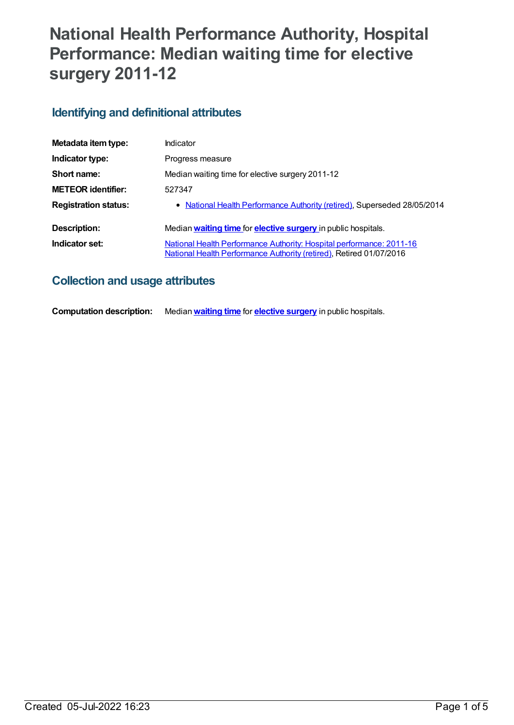# **National Health Performance Authority, Hospital Performance: Median waiting time for elective surgery 2011-12**

# **Identifying and definitional attributes**

| Metadata item type:         | <b>Indicator</b>                                                                                                                            |
|-----------------------------|---------------------------------------------------------------------------------------------------------------------------------------------|
| Indicator type:             | Progress measure                                                                                                                            |
| Short name:                 | Median waiting time for elective surgery 2011-12                                                                                            |
| <b>METEOR identifier:</b>   | 527347                                                                                                                                      |
| <b>Registration status:</b> | • National Health Performance Authority (retired), Superseded 28/05/2014                                                                    |
| Description:                | Median waiting time for elective surgery in public hospitals.                                                                               |
| Indicator set:              | National Health Performance Authority: Hospital performance: 2011-16<br>National Health Performance Authority (retired), Retired 01/07/2016 |

# **Collection and usage attributes**

**Computation description:** Median**[waiting](https://meteor.aihw.gov.au/content/531822) time** for **[elective](https://meteor.aihw.gov.au/content/327226) surgery** in public hospitals.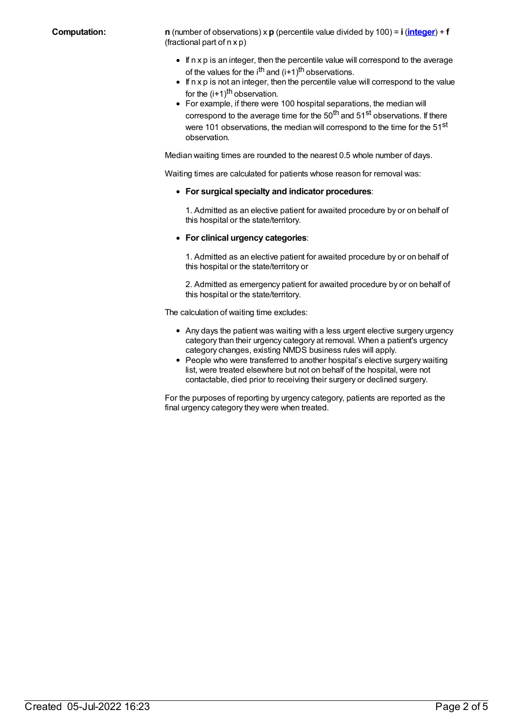**Computation: n** (number of observations) x **p** (percentile value divided by 100) = **i** (**[integer](https://meteor.aihw.gov.au/content/528618)**) + **f** (fractional part of n x p)

- $\bullet$  If n x p is an integer, then the percentile value will correspond to the average of the values for the i<sup>th</sup> and (i+1)<sup>th</sup> observations.
- $\bullet$  If n x p is not an integer, then the percentile value will correspond to the value for the (i+1)<sup>th</sup> observation.
- For example, if there were 100 hospital separations, the median will correspond to the average time for the 50<sup>th</sup> and 51<sup>st</sup> observations. If there were 101 observations, the median will correspond to the time for the 51<sup>st</sup> observation.

Median waiting times are rounded to the nearest 0.5 whole number of days.

Waiting times are calculated for patients whose reason for removal was:

**For surgical specialty and indicator procedures**:

1. Admitted as an elective patient for awaited procedure by or on behalf of this hospital or the state/territory.

**For clinical urgency categories**:

1. Admitted as an elective patient for awaited procedure by or on behalf of this hospital or the state/territory or

2. Admitted as emergency patient for awaited procedure by or on behalf of this hospital or the state/territory.

The calculation of waiting time excludes:

- Any days the patient was waiting with a less urgent elective surgery urgency category than their urgency category at removal. When a patient's urgency category changes, existing NMDS business rules will apply.
- People who were transferred to another hospital's elective surgery waiting list, were treated elsewhere but not on behalf of the hospital, were not contactable, died prior to receiving their surgery or declined surgery.

For the purposes of reporting by urgency category, patients are reported as the final urgency category they were when treated.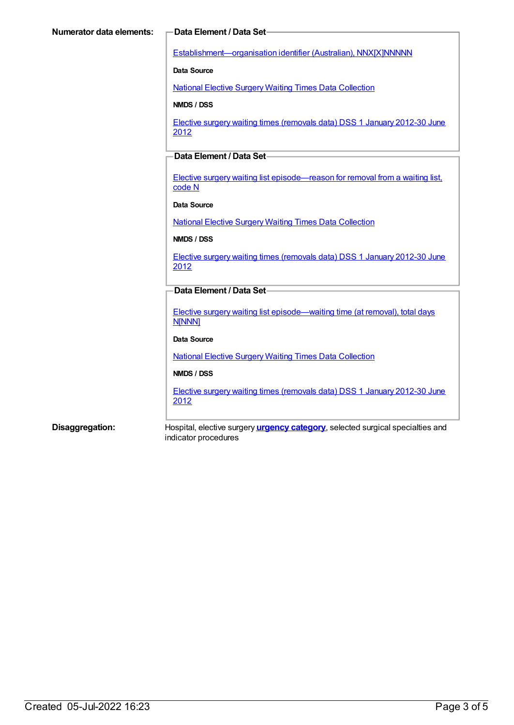[Establishment—organisation](https://meteor.aihw.gov.au/content/269973) identifier (Australian), NNX[X]NNNNN

**Data Source**

National Elective Surgery Waiting Times Data [Collection](https://meteor.aihw.gov.au/content/395071)

**NMDS / DSS**

Elective surgery waiting times [\(removals](https://meteor.aihw.gov.au/content/470097) data) DSS 1 January 2012-30 June 2012

# **Data Element / Data Set**

Elective surgery waiting list [episode—reason](https://meteor.aihw.gov.au/content/471735) for removal from a waiting list, code N

#### **Data Source**

National Elective Surgery Waiting Times Data [Collection](https://meteor.aihw.gov.au/content/395071)

#### **NMDS / DSS**

Elective surgery waiting times [\(removals](https://meteor.aihw.gov.au/content/470097) data) DSS 1 January 2012-30 June 2012

# **Data Element / Data Set**

Elective surgery waiting list [episode—waiting](https://meteor.aihw.gov.au/content/471744) time (at removal), total days **N[NNN]** 

#### **Data Source**

National Elective Surgery Waiting Times Data [Collection](https://meteor.aihw.gov.au/content/395071)

### **NMDS / DSS**

Elective surgery waiting times [\(removals](https://meteor.aihw.gov.au/content/470097) data) DSS 1 January 2012-30 June 2012

**Disaggregation:** Hospital, elective surgery **urgency [category](https://meteor.aihw.gov.au/content/532053)**, selected surgical specialties and indicator procedures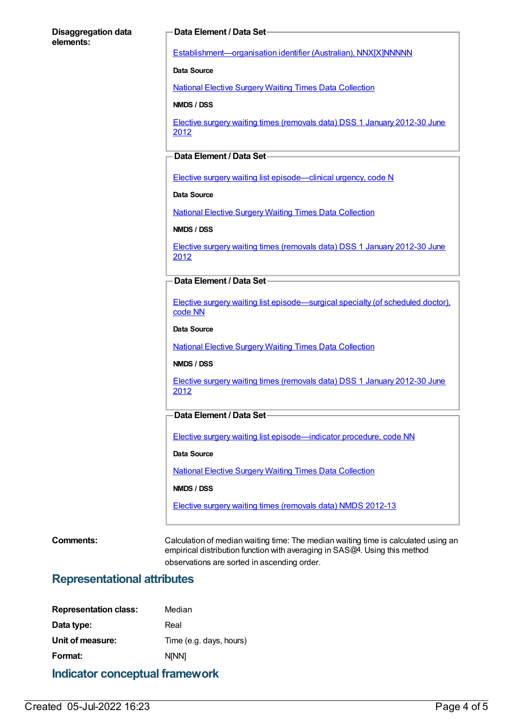#### **Disaggregation data elements:**

### **Data Element / Data Set**

[Establishment—organisation](https://meteor.aihw.gov.au/content/269973) identifier (Australian), NNX[X]NNNNN

**Data Source**

National Elective Surgery Waiting Times Data [Collection](https://meteor.aihw.gov.au/content/395071)

**NMDS / DSS**

Elective surgery waiting times [\(removals](https://meteor.aihw.gov.au/content/470097) data) DSS 1 January 2012-30 June 2012

# **Data Element / Data Set**

Elective surgery waiting list [episode—clinical](https://meteor.aihw.gov.au/content/270008) urgency, code N

**Data Source**

National Elective Surgery Waiting Times Data [Collection](https://meteor.aihw.gov.au/content/395071)

**NMDS / DSS**

Elective surgery waiting times [\(removals](https://meteor.aihw.gov.au/content/470097) data) DSS 1 January 2012-30 June 2012

### **Data Element / Data Set**

Elective surgery waiting list [episode—surgical](https://meteor.aihw.gov.au/content/270146) specialty (of scheduled doctor), code NN

**Data Source**

National Elective Surgery Waiting Times Data [Collection](https://meteor.aihw.gov.au/content/395071)

#### **NMDS / DSS**

Elective surgery waiting times [\(removals](https://meteor.aihw.gov.au/content/470097) data) DSS 1 January 2012-30 June 2012

## **Data Element / Data Set**

Elective surgery waiting list [episode—indicator](https://meteor.aihw.gov.au/content/472513) procedure, code NN

#### **Data Source**

National Elective Surgery Waiting Times Data [Collection](https://meteor.aihw.gov.au/content/395071)

**NMDS / DSS**

Elective surgery waiting times [\(removals](https://meteor.aihw.gov.au/content/472497) data) NMDS 2012-13

**Comments:** Calculation of median waiting time: The median waiting time is calculated using an empirical distribution function with averaging in SAS@4. Using this method observations are sorted in ascending order.

# **Representational attributes**

| Indicator conceptual framework |                         |  |
|--------------------------------|-------------------------|--|
| Format:                        | <b>NINN1</b>            |  |
| Unit of measure:               | Time (e.g. days, hours) |  |
| Data type:                     | Real                    |  |
| <b>Representation class:</b>   | Median                  |  |